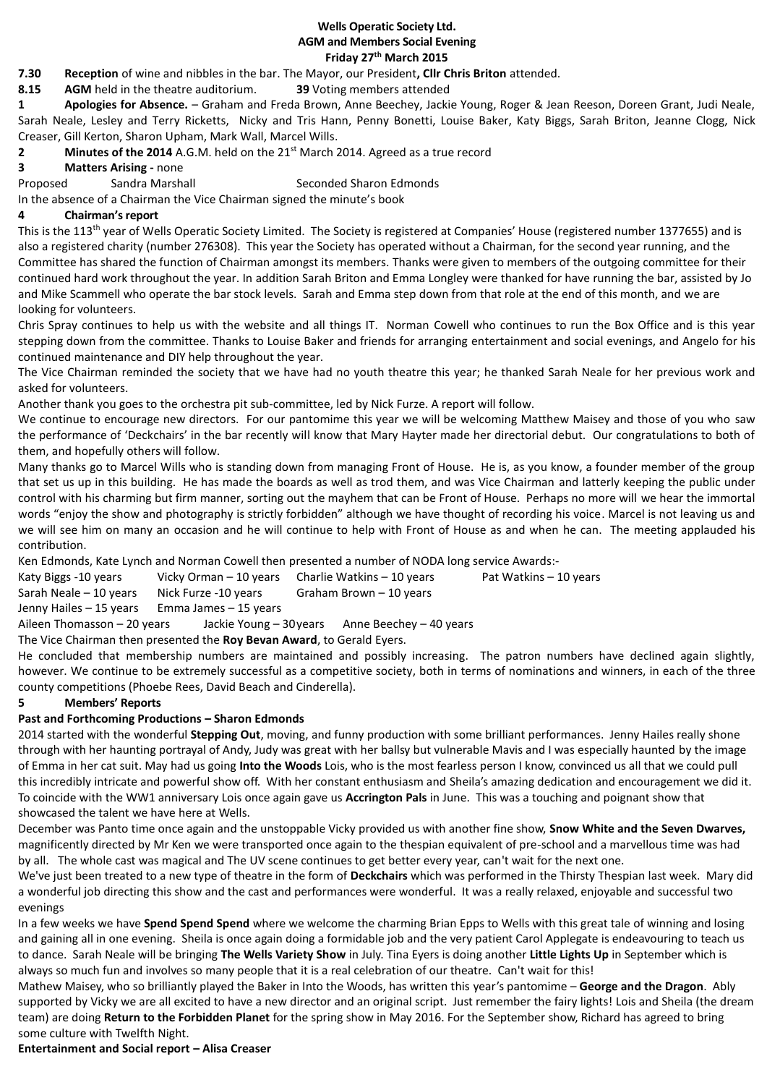#### **Wells Operatic Society Ltd. AGM and Members Social Evening Friday 27th March 2015**

**7.30 Reception** of wine and nibbles in the bar. The Mayor, our President**, Cllr Chris Briton** attended.

**8.15 AGM** held in the theatre auditorium. **39** Voting members attended

**1 Apologies for Absence.** – Graham and Freda Brown, Anne Beechey, Jackie Young, Roger & Jean Reeson, Doreen Grant, Judi Neale, Sarah Neale, Lesley and Terry Ricketts, Nicky and Tris Hann, Penny Bonetti, Louise Baker, Katy Biggs, Sarah Briton, Jeanne Clogg, Nick Creaser, Gill Kerton, Sharon Upham, Mark Wall, Marcel Wills.

**2 Minutes of the 2014** A.G.M. held on the 21st March 2014. Agreed as a true record

**3 Matters Arising -** none

Proposed Sandra Marshall Seconded Sharon Edmonds

In the absence of a Chairman the Vice Chairman signed the minute's book

## **4 Chairman's report**

This is the 113<sup>th</sup> year of Wells Operatic Society Limited. The Society is registered at Companies' House (registered number 1377655) and is also a registered charity (number 276308). This year the Society has operated without a Chairman, for the second year running, and the Committee has shared the function of Chairman amongst its members. Thanks were given to members of the outgoing committee for their continued hard work throughout the year. In addition Sarah Briton and Emma Longley were thanked for have running the bar, assisted by Jo and Mike Scammell who operate the bar stock levels. Sarah and Emma step down from that role at the end of this month, and we are looking for volunteers.

Chris Spray continues to help us with the website and all things IT. Norman Cowell who continues to run the Box Office and is this year stepping down from the committee. Thanks to Louise Baker and friends for arranging entertainment and social evenings, and Angelo for his continued maintenance and DIY help throughout the year.

The Vice Chairman reminded the society that we have had no youth theatre this year; he thanked Sarah Neale for her previous work and asked for volunteers.

Another thank you goes to the orchestra pit sub-committee, led by Nick Furze. A report will follow.

We continue to encourage new directors. For our pantomime this year we will be welcoming Matthew Maisey and those of you who saw the performance of 'Deckchairs' in the bar recently will know that Mary Hayter made her directorial debut. Our congratulations to both of them, and hopefully others will follow.

Many thanks go to Marcel Wills who is standing down from managing Front of House. He is, as you know, a founder member of the group that set us up in this building. He has made the boards as well as trod them, and was Vice Chairman and latterly keeping the public under control with his charming but firm manner, sorting out the mayhem that can be Front of House. Perhaps no more will we hear the immortal words "enjoy the show and photography is strictly forbidden" although we have thought of recording his voice. Marcel is not leaving us and we will see him on many an occasion and he will continue to help with Front of House as and when he can. The meeting applauded his contribution.

Ken Edmonds, Kate Lynch and Norman Cowell then presented a number of NODA long service Awards:-

Katy Biggs -10 years Vicky Orman – 10 years Charlie Watkins – 10 years Pat Watkins – 10 years

Sarah Neale – 10 years Nick Furze -10 years Graham Brown – 10 years

Jenny Hailes – 15 years Emma James – 15 years

Aileen Thomasson – 20 years Jackie Young – 30years Anne Beechey – 40 years

The Vice Chairman then presented the **Roy Bevan Award**, to Gerald Eyers.

He concluded that membership numbers are maintained and possibly increasing. The patron numbers have declined again slightly, however. We continue to be extremely successful as a competitive society, both in terms of nominations and winners, in each of the three county competitions (Phoebe Rees, David Beach and Cinderella).

## **5 Members' Reports**

# **Past and Forthcoming Productions – Sharon Edmonds**

2014 started with the wonderful **Stepping Out**, moving, and funny production with some brilliant performances. Jenny Hailes really shone through with her haunting portrayal of Andy, Judy was great with her ballsy but vulnerable Mavis and I was especially haunted by the image of Emma in her cat suit. May had us going **Into the Woods** Lois, who is the most fearless person I know, convinced us all that we could pull this incredibly intricate and powerful show off. With her constant enthusiasm and Sheila's amazing dedication and encouragement we did it. To coincide with the WW1 anniversary Lois once again gave us **Accrington Pals** in June. This was a touching and poignant show that showcased the talent we have here at Wells.

December was Panto time once again and the unstoppable Vicky provided us with another fine show, **Snow White and the Seven Dwarves,**  magnificently directed by Mr Ken we were transported once again to the thespian equivalent of pre-school and a marvellous time was had by all. The whole cast was magical and The UV scene continues to get better every year, can't wait for the next one.

We've just been treated to a new type of theatre in the form of **Deckchairs** which was performed in the Thirsty Thespian last week. Mary did a wonderful job directing this show and the cast and performances were wonderful. It was a really relaxed, enjoyable and successful two evenings

In a few weeks we have **Spend Spend Spend** where we welcome the charming Brian Epps to Wells with this great tale of winning and losing and gaining all in one evening. Sheila is once again doing a formidable job and the very patient Carol Applegate is endeavouring to teach us to dance. Sarah Neale will be bringing **The Wells Variety Show** in July. Tina Eyers is doing another **Little Lights Up** in September which is always so much fun and involves so many people that it is a real celebration of our theatre. Can't wait for this!

Mathew Maisey, who so brilliantly played the Baker in Into the Woods, has written this year's pantomime – **George and the Dragon**. Ably supported by Vicky we are all excited to have a new director and an original script. Just remember the fairy lights! Lois and Sheila (the dream team) are doing **Return to the Forbidden Planet** for the spring show in May 2016. For the September show, Richard has agreed to bring some culture with Twelfth Night.

**Entertainment and Social report – Alisa Creaser**